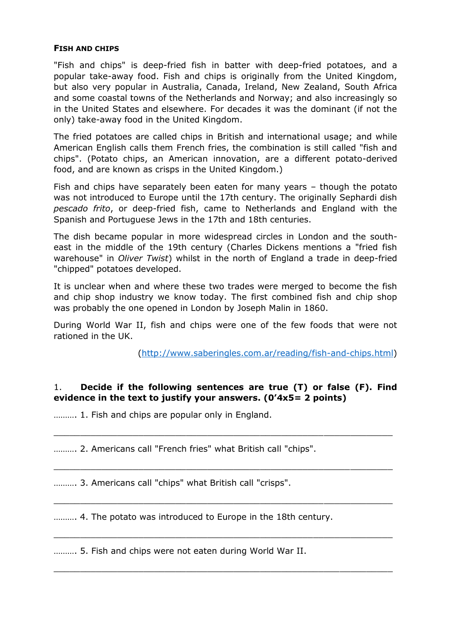#### **FISH AND CHIPS**

"Fish and chips" is deep-fried fish in batter with deep-fried potatoes, and a popular take-away food. Fish and chips is originally from the United Kingdom, but also very popular in Australia, Canada, Ireland, New Zealand, South Africa and some coastal towns of the Netherlands and Norway; and also increasingly so in the United States and elsewhere. For decades it was the dominant (if not the only) take-away food in the United Kingdom.

The fried potatoes are called chips in British and international usage; and while American English calls them French fries, the combination is still called "fish and chips". (Potato chips, an American innovation, are a different potato-derived food, and are known as crisps in the United Kingdom.)

Fish and chips have separately been eaten for many years – though the potato was not introduced to Europe until the 17th century. The originally Sephardi dish *pescado frito*, or deep-fried fish, came to Netherlands and England with the Spanish and Portuguese Jews in the 17th and 18th centuries.

The dish became popular in more widespread circles in London and the southeast in the middle of the 19th century (Charles Dickens mentions a "fried fish warehouse" in *Oliver Twist*) whilst in the north of England a trade in deep-fried "chipped" potatoes developed.

It is unclear when and where these two trades were merged to become the fish and chip shop industry we know today. The first combined fish and chip shop was probably the one opened in London by Joseph Malin in 1860.

During World War II, fish and chips were one of the few foods that were not rationed in the UK.

[\(http://www.saberingles.com.ar/reading/fish-and-chips.html\)](http://www.saberingles.com.ar/reading/fish-and-chips.html)

#### 1. **Decide if the following sentences are true (T) or false (F). Find evidence in the text to justify your answers. (0'4x5= 2 points)**

\_\_\_\_\_\_\_\_\_\_\_\_\_\_\_\_\_\_\_\_\_\_\_\_\_\_\_\_\_\_\_\_\_\_\_\_\_\_\_\_\_\_\_\_\_\_\_\_\_\_\_\_\_\_\_\_\_\_\_\_\_\_\_\_

 $\_$  , and the contribution of the contribution of  $\mathcal{L}_\mathcal{A}$  , and the contribution of  $\mathcal{L}_\mathcal{A}$ 

 $\_$  , and the contribution of the contribution of  $\mathcal{L}_\mathcal{A}$  , and the contribution of  $\mathcal{L}_\mathcal{A}$ 

\_\_\_\_\_\_\_\_\_\_\_\_\_\_\_\_\_\_\_\_\_\_\_\_\_\_\_\_\_\_\_\_\_\_\_\_\_\_\_\_\_\_\_\_\_\_\_\_\_\_\_\_\_\_\_\_\_\_\_\_\_\_\_\_

 $\_$  , and the contribution of the contribution of  $\mathcal{L}_\mathcal{A}$  , and the contribution of  $\mathcal{L}_\mathcal{A}$ 

………. 1. Fish and chips are popular only in England.

………. 2. Americans call "French fries" what British call "chips".

………. 3. Americans call "chips" what British call "crisps".

………. 4. The potato was introduced to Europe in the 18th century.

………. 5. Fish and chips were not eaten during World War II.